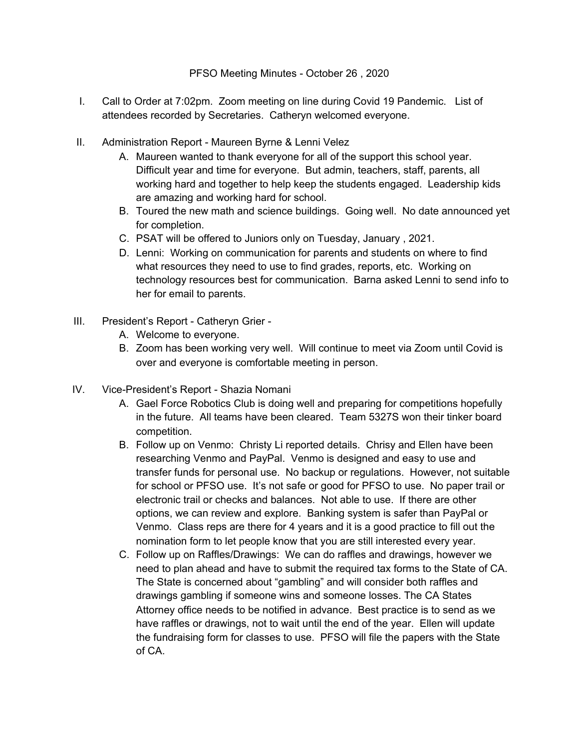PFSO Meeting Minutes - October 26 , 2020

- I. Call to Order at 7:02pm. Zoom meeting on line during Covid 19 Pandemic. List of attendees recorded by Secretaries. Catheryn welcomed everyone.
- II. Administration Report Maureen Byrne & Lenni Velez
	- A. Maureen wanted to thank everyone for all of the support this school year. Difficult year and time for everyone. But admin, teachers, staff, parents, all working hard and together to help keep the students engaged. Leadership kids are amazing and working hard for school.
	- B. Toured the new math and science buildings. Going well. No date announced yet for completion.
	- C. PSAT will be offered to Juniors only on Tuesday, January , 2021.
	- D. Lenni: Working on communication for parents and students on where to find what resources they need to use to find grades, reports, etc. Working on technology resources best for communication. Barna asked Lenni to send info to her for email to parents.
- III. President's Report Catheryn Grier
	- A. Welcome to everyone.
	- B. Zoom has been working very well. Will continue to meet via Zoom until Covid is over and everyone is comfortable meeting in person.
- IV. Vice-President's Report Shazia Nomani
	- A. Gael Force Robotics Club is doing well and preparing for competitions hopefully in the future. All teams have been cleared. Team 5327S won their tinker board competition.
	- B. Follow up on Venmo: Christy Li reported details. Chrisy and Ellen have been researching Venmo and PayPal. Venmo is designed and easy to use and transfer funds for personal use. No backup or regulations. However, not suitable for school or PFSO use. It's not safe or good for PFSO to use. No paper trail or electronic trail or checks and balances. Not able to use. If there are other options, we can review and explore. Banking system is safer than PayPal or Venmo. Class reps are there for 4 years and it is a good practice to fill out the nomination form to let people know that you are still interested every year.
	- C. Follow up on Raffles/Drawings: We can do raffles and drawings, however we need to plan ahead and have to submit the required tax forms to the State of CA. The State is concerned about "gambling" and will consider both raffles and drawings gambling if someone wins and someone losses. The CA States Attorney office needs to be notified in advance. Best practice is to send as we have raffles or drawings, not to wait until the end of the year. Ellen will update the fundraising form for classes to use. PFSO will file the papers with the State of CA.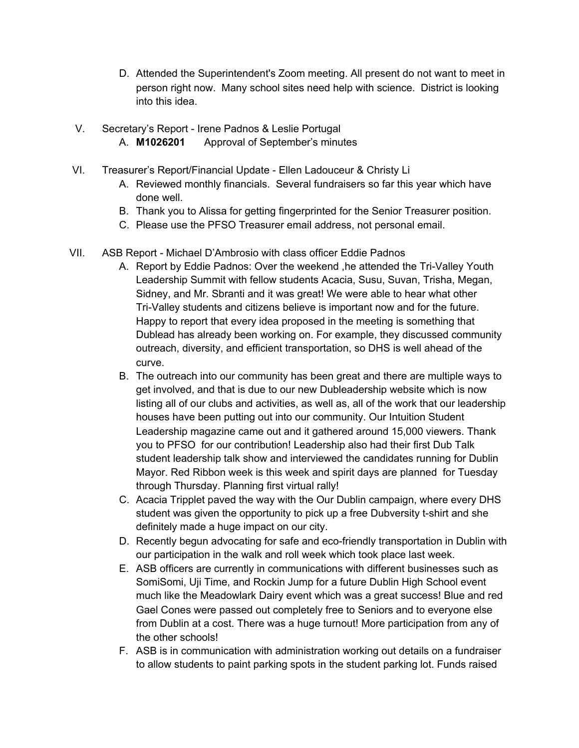- D. Attended the Superintendent's Zoom meeting. All present do not want to meet in person right now. Many school sites need help with science. District is looking into this idea.
- V. Secretary's Report Irene Padnos & Leslie Portugal A. **M1026201** Approval of September's minutes
- VI. Treasurer's Report/Financial Update Ellen Ladouceur & Christy Li
	- A. Reviewed monthly financials. Several fundraisers so far this year which have done well.
	- B. Thank you to Alissa for getting fingerprinted for the Senior Treasurer position.
	- C. Please use the PFSO Treasurer email address, not personal email.
- VII. ASB Report Michael D'Ambrosio with class officer Eddie Padnos
	- A. Report by Eddie Padnos: Over the weekend ,he attended the Tri-Valley Youth Leadership Summit with fellow students Acacia, Susu, Suvan, Trisha, Megan, Sidney, and Mr. Sbranti and it was great! We were able to hear what other Tri-Valley students and citizens believe is important now and for the future. Happy to report that every idea proposed in the meeting is something that Dublead has already been working on. For example, they discussed community outreach, diversity, and efficient transportation, so DHS is well ahead of the curve.
	- B. The outreach into our community has been great and there are multiple ways to get involved, and that is due to our new Dubleadership website which is now listing all of our clubs and activities, as well as, all of the work that our leadership houses have been putting out into our community. Our Intuition Student Leadership magazine came out and it gathered around 15,000 viewers. Thank you to PFSO for our contribution! Leadership also had their first Dub Talk student leadership talk show and interviewed the candidates running for Dublin Mayor. Red Ribbon week is this week and spirit days are planned for Tuesday through Thursday. Planning first virtual rally!
	- C. Acacia Tripplet paved the way with the Our Dublin campaign, where every DHS student was given the opportunity to pick up a free Dubversity t-shirt and she definitely made a huge impact on our city.
	- D. Recently begun advocating for safe and eco-friendly transportation in Dublin with our participation in the walk and roll week which took place last week.
	- E. ASB officers are currently in communications with different businesses such as SomiSomi, Uji Time, and Rockin Jump for a future Dublin High School event much like the Meadowlark Dairy event which was a great success! Blue and red Gael Cones were passed out completely free to Seniors and to everyone else from Dublin at a cost. There was a huge turnout! More participation from any of the other schools!
	- F. ASB is in communication with administration working out details on a fundraiser to allow students to paint parking spots in the student parking lot. Funds raised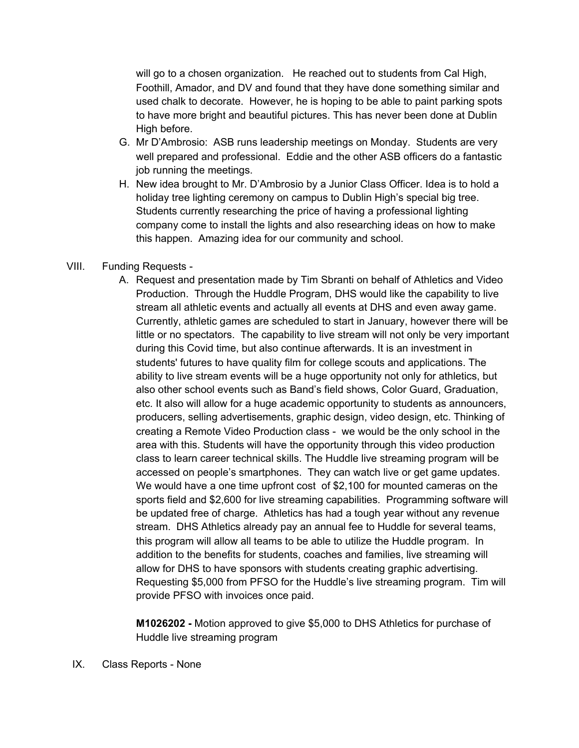will go to a chosen organization. He reached out to students from Cal High, Foothill, Amador, and DV and found that they have done something similar and used chalk to decorate. However, he is hoping to be able to paint parking spots to have more bright and beautiful pictures. This has never been done at Dublin High before.

- G. Mr D'Ambrosio: ASB runs leadership meetings on Monday. Students are very well prepared and professional. Eddie and the other ASB officers do a fantastic job running the meetings.
- H. New idea brought to Mr. D'Ambrosio by a Junior Class Officer. Idea is to hold a holiday tree lighting ceremony on campus to Dublin High's special big tree. Students currently researching the price of having a professional lighting company come to install the lights and also researching ideas on how to make this happen. Amazing idea for our community and school.

## VIII. Funding Requests -

A. Request and presentation made by Tim Sbranti on behalf of Athletics and Video Production. Through the Huddle Program, DHS would like the capability to live stream all athletic events and actually all events at DHS and even away game. Currently, athletic games are scheduled to start in January, however there will be little or no spectators. The capability to live stream will not only be very important during this Covid time, but also continue afterwards. It is an investment in students' futures to have quality film for college scouts and applications. The ability to live stream events will be a huge opportunity not only for athletics, but also other school events such as Band's field shows, Color Guard, Graduation, etc. It also will allow for a huge academic opportunity to students as announcers, producers, selling advertisements, graphic design, video design, etc. Thinking of creating a Remote Video Production class - we would be the only school in the area with this. Students will have the opportunity through this video production class to learn career technical skills. The Huddle live streaming program will be accessed on people's smartphones. They can watch live or get game updates. We would have a one time upfront cost of \$2,100 for mounted cameras on the sports field and \$2,600 for live streaming capabilities. Programming software will be updated free of charge. Athletics has had a tough year without any revenue stream. DHS Athletics already pay an annual fee to Huddle for several teams, this program will allow all teams to be able to utilize the Huddle program. In addition to the benefits for students, coaches and families, live streaming will allow for DHS to have sponsors with students creating graphic advertising. Requesting \$5,000 from PFSO for the Huddle's live streaming program. Tim will provide PFSO with invoices once paid.

**M1026202 -** Motion approved to give \$5,000 to DHS Athletics for purchase of Huddle live streaming program

IX. Class Reports - None